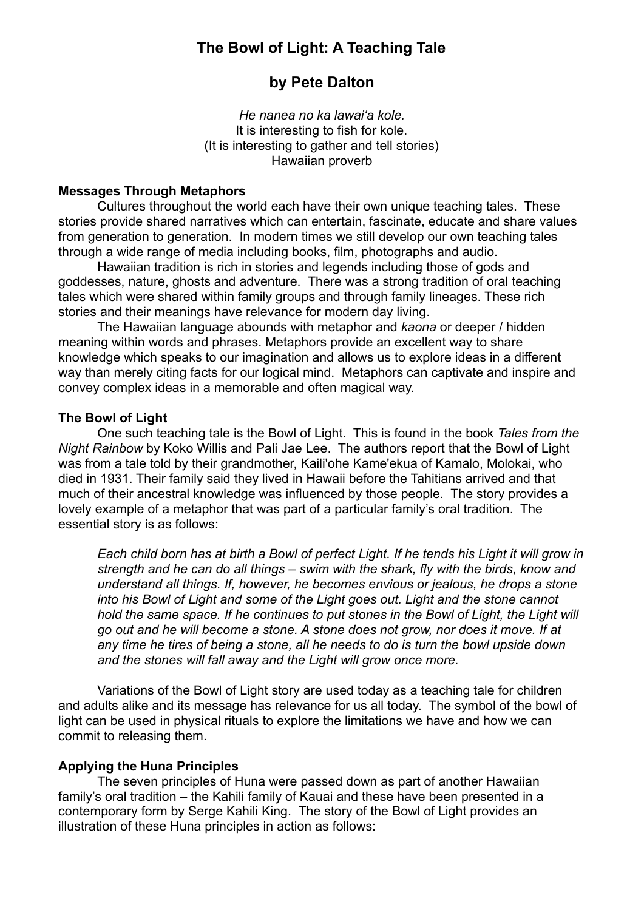# **The Bowl of Light: A Teaching Tale**

# **by Pete Dalton**

*He nanea no ka lawai'a kole.*  It is interesting to fish for kole. (It is interesting to gather and tell stories) Hawaiian proverb

#### **Messages Through Metaphors**

Cultures throughout the world each have their own unique teaching tales. These stories provide shared narratives which can entertain, fascinate, educate and share values from generation to generation. In modern times we still develop our own teaching tales through a wide range of media including books, film, photographs and audio.

 Hawaiian tradition is rich in stories and legends including those of gods and goddesses, nature, ghosts and adventure. There was a strong tradition of oral teaching tales which were shared within family groups and through family lineages. These rich stories and their meanings have relevance for modern day living.

 The Hawaiian language abounds with metaphor and *kaona* or deeper / hidden meaning within words and phrases. Metaphors provide an excellent way to share knowledge which speaks to our imagination and allows us to explore ideas in a different way than merely citing facts for our logical mind. Metaphors can captivate and inspire and convey complex ideas in a memorable and often magical way.

#### **The Bowl of Light**

One such teaching tale is the Bowl of Light. This is found in the book *Tales from the Night Rainbow* by Koko Willis and Pali Jae Lee. The authors report that the Bowl of Light was from a tale told by their grandmother, Kaili'ohe Kame'ekua of Kamalo, Molokai, who died in 1931. Their family said they lived in Hawaii before the Tahitians arrived and that much of their ancestral knowledge was influenced by those people. The story provides a lovely example of a metaphor that was part of a particular family's oral tradition. The essential story is as follows:

*Each child born has at birth a Bowl of perfect Light. If he tends his Light it will grow in strength and he can do all things – swim with the shark, fly with the birds, know and understand all things. If, however, he becomes envious or jealous, he drops a stone into his Bowl of Light and some of the Light goes out. Light and the stone cannot hold the same space. If he continues to put stones in the Bowl of Light, the Light will go out and he will become a stone. A stone does not grow, nor does it move. If at any time he tires of being a stone, all he needs to do is turn the bowl upside down and the stones will fall away and the Light will grow once more.* 

Variations of the Bowl of Light story are used today as a teaching tale for children and adults alike and its message has relevance for us all today. The symbol of the bowl of light can be used in physical rituals to explore the limitations we have and how we can commit to releasing them.

#### **Applying the Huna Principles**

The seven principles of Huna were passed down as part of another Hawaiian family's oral tradition – the Kahili family of Kauai and these have been presented in a contemporary form by Serge Kahili King. The story of the Bowl of Light provides an illustration of these Huna principles in action as follows: